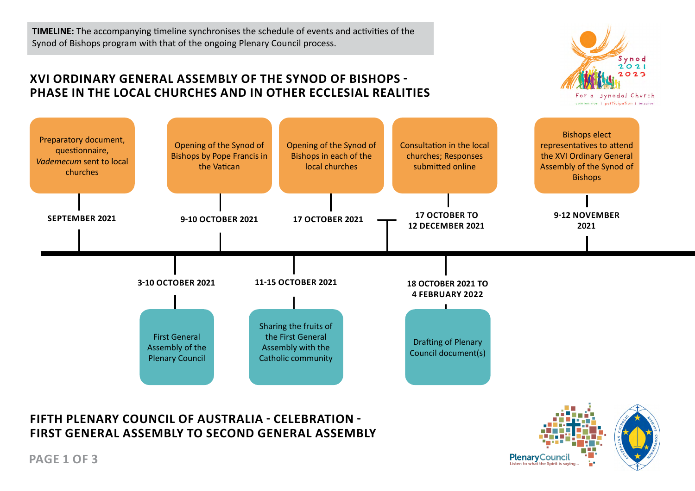**TIMELINE:** The accompanying timeline synchronises the schedule of events and activities of the Synod of Bishops program with that of the ongoing Plenary Council process.

## **XVI ORDINARY GENERAL ASSEMBLY OF THE SYNOD OF BISHOPS - PHASE IN THE LOCAL CHURCHES AND IN OTHER ECCLESIAL REALITIES**





## **FIFTH PLENARY COUNCIL OF AUSTRALIA - CELEBRATION - FIRST GENERAL ASSEMBLY TO SECOND GENERAL ASSEMBLY**



**PAGE 1 OF 3**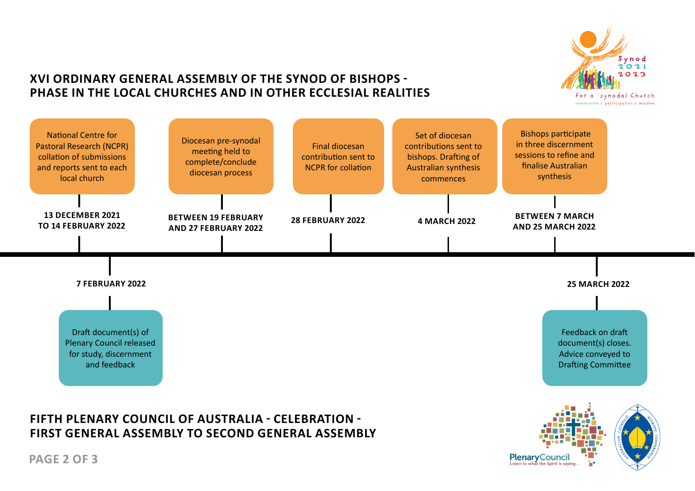

#### **XVI ORDINARY GENERAL ASSEMBLY OF THE SYNOD OF BISHOPS - PHASE IN THE LOCAL CHURCHES AND IN OTHER ECCLESIAL REALITIES**



# **FIFTH PLENARY COUNCIL OF AUSTRALIA - CELEBRATION - FIRST GENERAL ASSEMBLY TO SECOND GENERAL ASSEMBLY**



**PAGE 2 OF 3**